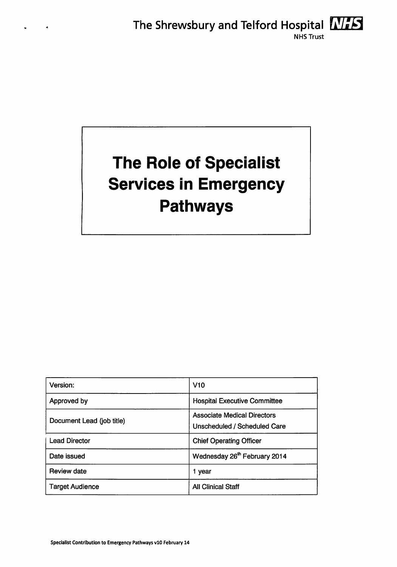

# *The Role of Specialist Services in Emergency Pathways*

| Version:                  | V10                                                                       |
|---------------------------|---------------------------------------------------------------------------|
| Approved by               | <b>Hospital Executive Committee</b>                                       |
| Document Lead (job title) | <b>Associate Medical Directors</b><br><b>Unscheduled / Scheduled Care</b> |
| <b>Lead Director</b>      | <b>Chief Operating Officer</b>                                            |
| Date issued               | Wednesday 26 <sup>th</sup> February 2014                                  |
| <b>Review date</b>        | 1 year                                                                    |
| <b>Target Audience</b>    | <b>All Clinical Staff</b>                                                 |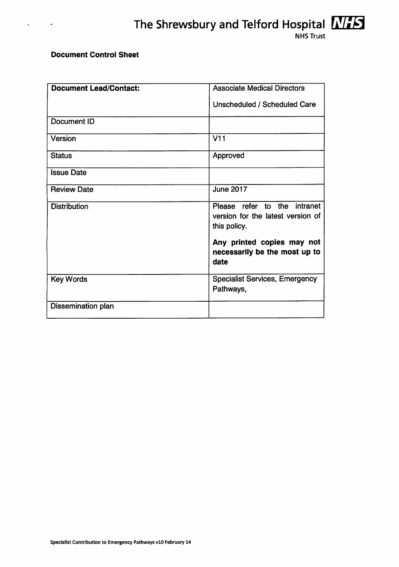#### *Document Control Sheet*

 $\ddot{\phantom{0}}$ 

 $\sim 100$ 

| <b>Document Lead/Contact:</b> | <b>Associate Medical Directors</b>                                  |
|-------------------------------|---------------------------------------------------------------------|
|                               | Unscheduled / Scheduled Care                                        |
|                               |                                                                     |
| Document ID                   |                                                                     |
| Version                       | V11                                                                 |
| <b>Status</b>                 | Approved                                                            |
| <b>Issue Date</b>             |                                                                     |
| <b>Review Date</b>            | <b>June 2017</b>                                                    |
| <b>Distribution</b>           | Please refer to the intranet                                        |
|                               | version for the latest version of                                   |
|                               | this policy.                                                        |
|                               | Any printed copies may not<br>necessarily be the most up to<br>date |
| <b>Key Words</b>              | <b>Specialist Services, Emergency</b><br>Pathways,                  |
| Dissemination plan            |                                                                     |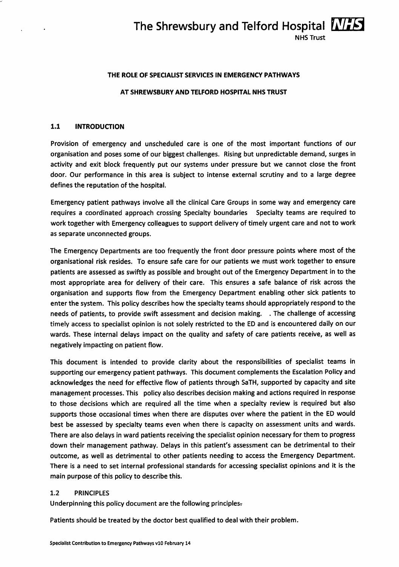#### *The Shrewsbury and Telford Hospital FiVifcl* NHS Trust

#### *THE ROLE OF SPECIALIST SERVICES IN EMERGENCY PATHWAYS*

#### *AT SHREWSBURY AND TELFORD HOSPITAL NHS TRUST*

#### *1.1 INTRODUCTION*

Provision of emergency and unscheduled care is one of the most important functions of our organisation and poses some of our biggest challenges. Rising but unpredictable demand, surges in activity and exit block frequently put our systems under pressure but we cannot close the front door. Our performance in this area is subject to intense external scrutiny and to a large degree defines the reputation of the hospital.

Emergency patient pathways involve all the clinical Care Groups in some way and emergency care requires a coordinated approach crossing Specialty boundaries Specialty teams are required to work together with Emergency colleagues to support delivery of timely urgent care and not to work as separate unconnected groups.

The Emergency Departments are too frequently the front door pressure points where most of the organisational risk resides. To ensure safe care for our patients we must work together to ensure patients are assessed as swiftly as possible and brought out of the Emergency Department in to the most appropriate area for delivery of their care. This ensures a safe balance of risk across the organisation and supports flow from the Emergency Department enabling other sick patients to enter the system. This policy describes how the specialty teams should appropriately respond to the needs of patients, to provide swift assessment and decision making. . The challenge of accessing timely access to specialist opinion is not solely restricted to the ED and is encountered daily on our wards. These internal delays impact on the quality and safety of care patients receive, as well as negatively impacting on patient flow.

This document is intended to provide clarity about the responsibilities of specialist teams in supporting our emergency patient pathways. This document complements the Escalation Policy and acknowledges the need for effective flow of patients through SaTH, supported by capacity and site management processes. This policy also describes decision making and actions required in response to those decisions which are required all the time when a specialty review is required but also supports those occasional times when there are disputes over where the patient in the ED would best be assessed by specialty teams even when there is capacity on assessment units and wards. There are also delays in ward patients receiving the specialist opinion necessary for them to progress down their management pathway. Delays in this patient's assessment can be detrimental to their outcome, as well as detrimental to other patients needing to access the Emergency Department. There is a need to set internal professional standards for accessing specialist opinions and it is the main purpose of this policy to describe this.

#### 1.2 PRINCIPLES

Underpinning this policy document are the following principles-

Patients should be treated by the doctor best qualified to deal with their problem.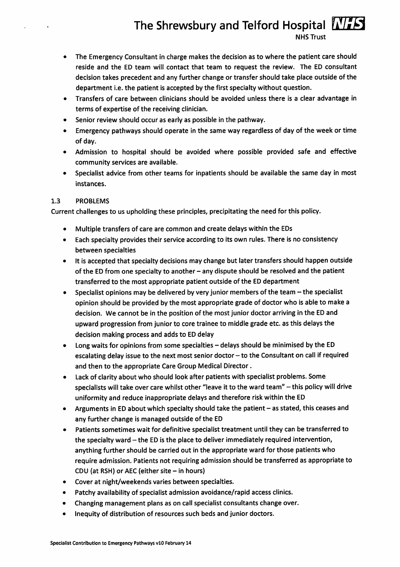# *The Shrewsbury and Telford Hospital ATFS*

NHS Trust

- The Emergency Consultant in charge makes the decision as to where the patient care should reside and the ED team will contact that team to request the review. The ED consultant decision takes precedent and any further change or transfer should take place outside of the department i.e. the patient is accepted by the first specialty without question.
- Transfers of care between clinicians should be avoided unless there is a clear advantage in terms of expertise of the receiving clinician.
- Senior review should occur as early as possible in the pathway.
- Emergency pathways should operate in the same way regardless of day of the week or time of day.
- Admission to hospital should be avoided where possible provided safe and effective community services are available.
- Specialist advice from other teams for inpatients should be available the same day in most instances.

#### 1.3 PROBLEMS

 $\ddot{\phantom{0}}$ 

Current challenges to us upholding these principles, precipitating the need for this policy.

- Multiple transfers of care are common and create delays within the EDs
- Each specialty provides their service according to its own rules. There is no consistency between specialties
- It is accepted that specialty decisions may change but later transfers should happen outside of the ED from one specialty to another - any dispute should be resolved and the patient transferred to the most appropriate patient outside of the ED department
- Specialist opinions may be delivered by very junior members of the team  $-$  the specialist opinion should be provided by the most appropriate grade of doctor who is able to make a decision. We cannot be in the position of the most junior doctor arriving in the ED and upward progression from junior to core trainee to middlegrade etc. as this delays the decision making process and adds to ED delay
- Long waits for opinions from some specialties delays should be minimised by the ED escalating delay issue to the next most senior doctor  $-$  to the Consultant on call if required and then to the appropriate Care Group Medical Director.
- Lack of clarity about who should look after patients with specialist problems. Some specialists will take over care whilst other "leave it to the ward team" - this policy will drive uniformity and reduce inappropriate delays and therefore riskwithin the ED
- Arguments in ED about which specialty should take the patient as stated, this ceases and any further change is managed outside of the ED
- Patients sometimes wait for definitive specialist treatment until they can be transferred to the specialty ward  $-$  the ED is the place to deliver immediately required intervention, anything further should be carried out in the appropriate ward for those patients who require admission. Patients not requiring admission should be transferred as appropriate to CDU (at RSH) or AEC (either site  $-$  in hours)
- Cover at night/weekends varies between specialties.
- Patchy availability of specialist admission avoidance/rapid access clinics.
- Changing management plans as on call specialist consultants change over.
- Inequity of distribution of resources such beds and junior doctors.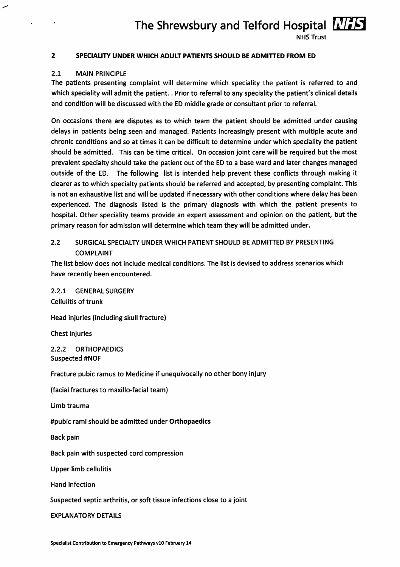### *The Shrewsbury and Telford Hospital FaV<sub>F</sub>S*

NHS Trust

#### *2 SPECIALITY UNDER WHICH ADULT PATIENTS SHOULD BE ADMITTED FROM ED*

#### 2.1 MAIN PRINCIPLE

The patients presenting complaint will determine which speciality the patient is referred to and which speciality will admit the patient.. Prior to referral to any speciality the patient's clinical details and condition will be discussed with the ED middle grade or consultant prior to referral.

On occasions there are disputes as to which team the patient should be admitted under causing delays in patients being seen and managed. Patients increasingly present with multiple acute and chronic conditions and so at times it can be difficult to determine under which speciality the patient should be admitted. This can be time critical. On occasion joint care will be required but the most prevalent specialty should take the patient out of the ED to a base ward and later changes managed outside of the ED. The following list is intended help prevent these conflicts through making it clearer as to which specialty patients should be referred and accepted, by presenting complaint. This is not an exhaustive list and will be updated if necessary with other conditions where delay has been experienced. The diagnosis listed is the primary diagnosis with which the patient presents to hospital. Other speciality teams provide an expert assessment and opinion on the patient, but the primary reason for admission will determine which team they will be admitted under.

#### 2.2 SURGICAL SPECIALTY UNDER WHICH PATIENT SHOULD BE ADMITTED BY PRESENTING COMPLAINT

The list below does not include medical conditions. The list is devised to address scenarios which have recently been encountered.

2.2.1 GENERAL SURGERY Cellulitis of trunk

Head injuries (including skull fracture)

Chest injuries

2.2.2 ORTHOPAEDICS Suspected #NOF

Fracture pubic ramus to Medicine if unequivocally no other bony injury

(facial fractures to maxillo-facial team)

Limb trauma

#pubic rami should be admitted under *Orthopaedics*

Back pain

Back pain with suspected cord compression

Upper limb cellulitis

Hand infection

Suspected septic arthritis, or soft tissue infections close to a joint

EXPLANATORY DETAILS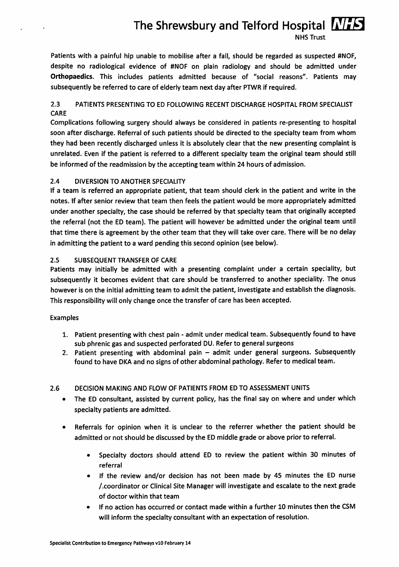# *The Shrewsbury and Telford Hospital WIFS*

NHS Trust

Patients with a painful hip unable to mobilise after a fall, should be regarded as suspected #NOF, despite no radiological evidence of #NOF on plain radiology and should be admitted under *Orthopaedics.* This includes patients admitted because of "social reasons". Patients may subsequently be referred to care of elderly team next day after PTWR if required.

#### 2.3 PATIENTS PRESENTING TO ED FOLLOWING RECENT DISCHARGE HOSPITAL FROM SPECIALIST CARE

Complications following surgery should always be considered in patients re-presenting to hospital soon after discharge. Referral of such patients should be directed to the specialty team from whom they had been recently discharged unless it is absolutely clear that the new presenting complaint is unrelated. Even if the patient is referred to a different specialty team the original team should still be informed of the readmission by the accepting team within 24 hours of admission.

#### 2.4 DIVERSION TO ANOTHER SPECIALITY

If a team is referred an appropriate patient, that team should clerk in the patient and write in the notes. If after senior review that team then feels the patient would be more appropriately admitted under another specialty, the case should be referred by that specialty team that originally accepted the referral (not the ED team). The patient will however be admitted under the original team until that time there is agreement by the other team that they will take over care. There will be no delay in admitting the patient to a ward pending this second opinion (see below).

#### 2.5 SUBSEQUENT TRANSFER OF CARE

Patients may initially be admitted with a presenting complaint under a certain speciality, but subsequently it becomes evident that care should be transferred to another speciality. The onus however is on the initial admitting team to admit the patient, investigate and establish the diagnosis. This responsibility will only change once the transfer of care has been accepted.

#### Examples

- 1. Patient presenting with chest pain admit under medical team. Subsequently found to have sub phrenic gas and suspected perforated DU. Refer to general surgeons
- 2. Patient presenting with abdominal pain admit under general surgeons. Subsequently found to have DKA and no signs of other abdominal pathology. Refer to medical team.

#### 2.6 DECISION MAKING AND FLOW OF PATIENTS FROM ED TO ASSESSMENT UNITS

- The ED consultant, assisted by current policy, has the final say on where and under which specialty patients are admitted.
- Referrals for opinion when it is unclear to the referrer whether the patient should be admitted or not should be discussed by the ED middle grade or above prior to referral.
	- Specialty doctors should attend ED to review the patient within 30 minutes of referral
	- If the review and/or decision has not been made by 45 minutes the ED nurse /.coordinator or Clinical Site Manager will investigate and escalate to the next grade of doctor within that team
	- If no action has occurred or contact made within a further 10 minutes then the CSM will inform the specialty consultant with an expectation of resolution.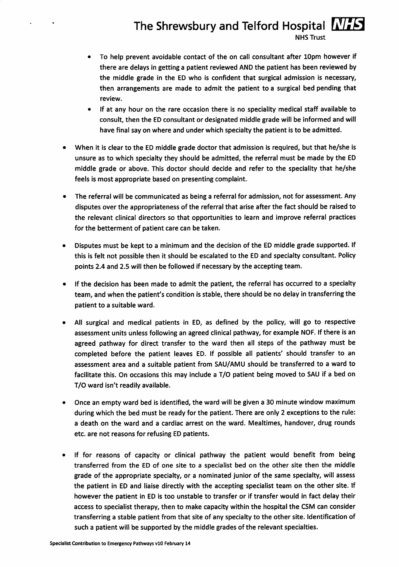# *The Shrewsbury and Telford Hospital WISH*

NHS Trust

- To help prevent avoidable contact of the on call consultant after 10pm however if there are delays in getting a patient reviewed AND the patient has been reviewed by the middle grade in the ED who is confident that surgical admission is necessary, then arrangements are made to admit the patient to a surgical bed pending that review.
- If at any hour on the rare occasion there is no speciality medical staff available to consult, then the ED consultant or designated middle grade will be informed and will have final say on where and under which specialty the patient is to be admitted.
- When it is clear to the ED middle grade doctor that admission is required, but that he/she is unsure as to which specialty they should be admitted, the referral must be made by the ED middle grade or above. This doctor should decide and refer to the speciality that he/she feels is most appropriate based on presenting complaint.
- The referral will be communicated as being a referral for admission, not for assessment. Any disputes over the appropriateness of the referral that arise after the fact should be raised to the relevant clinical directors so that opportunities to learn and improve referral practices for the betterment of patient care can be taken.
- Disputes must be kept to a minimum and the decision of the ED middle grade supported. If this is felt not possible then it should be escalated to the ED and specialty consultant. Policy points 2.4 and 2.5 will then be followed if necessary by the accepting team.
- If the decision has been made to admit the patient, the referral has occurred to a specialty team, and when the patient's condition is stable, there should be no delay in transferring the patient to a suitable ward.
- All surgical and medical patients in ED, as defined by the policy, will go to respective assessment units unless following an agreed clinical pathway, for example NOF. If there is an agreed pathway for direct transfer to the ward then all steps of the pathway must be completed before the patient leaves ED. If possible all patients' should transfer to an assessment area and a suitable patient from SAU/AMU should be transferred to a ward to facilitate this. On occasions this may include a T/O patient being moved to SAU if a bed on T/O ward isn't readily available.
- Once an empty ward bed is identified, the ward will be given a 30 minute window maximum during which the bed must be ready for the patient. There are only 2 exceptions to the rule: a death on the ward and a cardiac arrest on the ward. Mealtimes, handover, drug rounds etc. are not reasons for refusing ED patients.
- If for reasons of capacity or clinical pathway the patient would benefit from being transferred from the ED of one site to a specialist bed on the other site then the middle grade of the appropriate specialty, or a nominated junior of the same specialty, will assess the patient in ED and liaise directly with the accepting specialist team on the other site. If however the patient in ED is too unstable to transfer or if transfer would in fact delay their access to specialist therapy, then to make capacity within the hospital the CSM can consider transferring a stable patient from that site of any specialty to the other site. Identification of such a patient will be supported by the middle grades of the relevant specialties.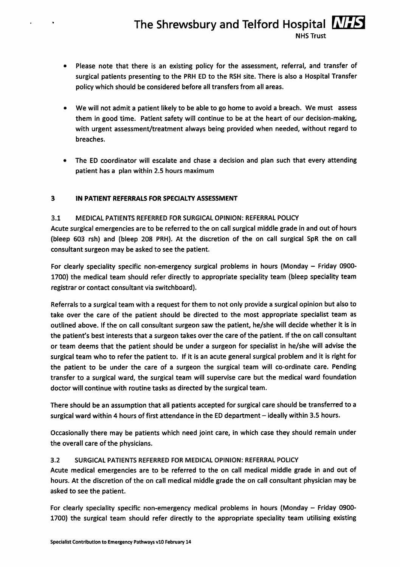#### *The Shrewsbury and Telford Hospital MITS* NHS Trust

- Please note that there is an existing policy for the assessment, referral, and transfer of surgical patients presenting to the PRH ED to the RSH site. There is also a Hospital Transfer policy which should be considered before all transfers from all areas.
- We will not admit a patient likely to be able to go home to avoid a breach. We must assess them in good time. Patient safety will continue to be at the heart of our decision-making, with urgent assessment/treatment always being provided when needed, without regard to breaches.
- The ED coordinator will escalate and chase a decision and plan such that every attending patient has a plan within 2.5 hours maximum

#### *3 IN PATIENT REFERRALS FOR SPECIALTY ASSESSMENT*

#### 3.1 MEDICAL PATIENTS REFERRED FOR SURGICAL OPINION: REFERRAL POLICY

Acute surgical emergencies are to be referred to the on callsurgical middle grade in and out of hours (bleep 603 rsh) and (bleep 208 PRH). At the discretion of the on call surgical SpR the on call consultant surgeon may be asked to see the patient.

For clearly speciality specific non-emergency surgical problems in hours (Monday - Friday 0900-1700) the medical team should refer directly to appropriate speciality team (bleep speciality team registrar or contact consultant via switchboard).

Referrals to a surgical team with a request for them to not only provide a surgical opinion but also to take over the care of the patient should be directed to the most appropriate specialist team as outlined above. Ifthe on call consultant surgeon saw the patient, he/she will decide whether it is in the patient's best interests that a surgeon takes over the care of the patient. If the on call consultant or team deems that the patient should be under a surgeon for specialist in he/she will advise the surgical team who to refer the patient to. If it is an acute general surgical problem and it is right for the patient to be under the care of a surgeon the surgical team will co-ordinate care. Pending transfer to a surgical ward, the surgical team will supervise care but the medical ward foundation doctor will continue with routine tasks as directed by the surgical team.

There should be an assumption that all patients accepted for surgical care should be transferred to a surgical ward within 4 hours of first attendance in the ED department – ideally within 3.5 hours.

Occasionally there may be patients which need joint care, in which case they should remain under the overall care of the physicians.

#### 3.2 SURGICAL PATIENTS REFERRED FOR MEDICAL OPINION: REFERRAL POLICY

Acute medical emergencies are to be referred to the on call medical middle grade in and out of hours. At the discretion of the on call medical middle grade the on call consultant physician may be asked to see the patient.

For clearly speciality specific non-emergency medical problems in hours (Monday - Friday 0900-1700) the surgical team should refer directly to the appropriate speciality team utilising existing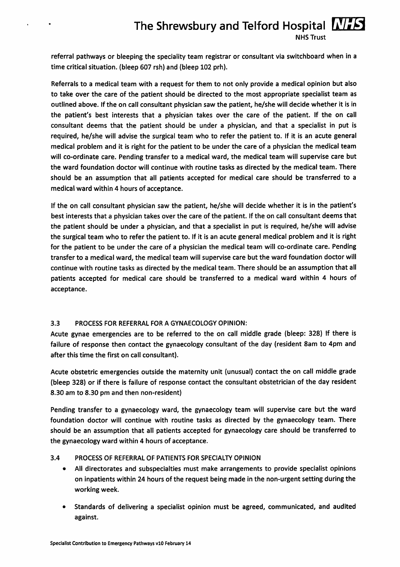### *The Shrewsbury and Telford Hospital IMES*

NHS Trust

referral pathways or bleeping the speciality team registrar or consultant via switchboard when in a time critical situation, (bleep 607 rsh) and (bleep 102 prh).

Referrals to a medical team with a request for them to not only provide a medical opinion but also to take over the care of the patient should be directed to the most appropriate specialist team as outlined above. Ifthe on call consultant physician saw the patient, he/she will decide whether it is in the patient's best interests that a physician takes over the care of the patient. If the on call consultant deems that the patient should be under a physician, and that a specialist in put is required, he/she will advise the surgical team who to refer the patient to. If it is an acute general medical problem and it is right for the patient to be under the care of a physician the medical team will co-ordinate care. Pending transfer to a medical ward, the medical team will supervise care but the ward foundation doctor will continue with routine tasks as directed by the medical team. There should be an assumption that all patients accepted for medical care should be transferred to a medical ward within 4 hours of acceptance.

Ifthe on call consultant physician saw the patient, he/she will decide whether it is in the patient's best interests that a physician takes over the care of the patient. If the on call consultant deems that the patient should be under a physician, and that a specialist in put is required, he/she will advise the surgical team who to refer the patient to. If it is an acute general medical problem and it is right for the patient to be under the care of a physician the medical team will co-ordinate care. Pending transfer to a medical ward, the medical team will supervise care but the ward foundation doctor will continue with routine tasks as directed by the medical team. There should be an assumption that all patients accepted for medical care should be transferred to a medical ward within 4 hours of acceptance.

#### 3.3 PROCESS FOR REFERRAL FOR A GYNAECOLOGY OPINION:

 $\ddot{\phantom{0}}$ 

 $\bullet$ 

Acute gynae emergencies are to be referred to the on call middle grade (bleep: 328) If there is failure of response then contact the gynaecology consultant of the day (resident 8am to 4pm and after this time the first on call consultant).

Acute obstetric emergencies outside the maternity unit (unusual) contact the on call middle grade (bleep 328) or if there is failure of response contact the consultant obstetrician of the day resident 8.30 am to 8.30 pm and then non-resident)

Pending transfer to a gynaecology ward, the gynaecology team will supervise care but the ward foundation doctor will continue with routine tasks as directed by the gynaecology team. There should be an assumption that all patients accepted for gynaecology care should be transferred to the gynaecology ward within 4 hours of acceptance.

#### 3.4 PROCESS OF REFERRAL OF PATIENTS FOR SPECIALTY OPINION

- All directorates and subspecialties must make arrangements to provide specialist opinions on inpatients within 24 hours of the request being made in the non-urgent setting during the working week.
- Standards of delivering a specialist opinion must be agreed, communicated, and audited against.